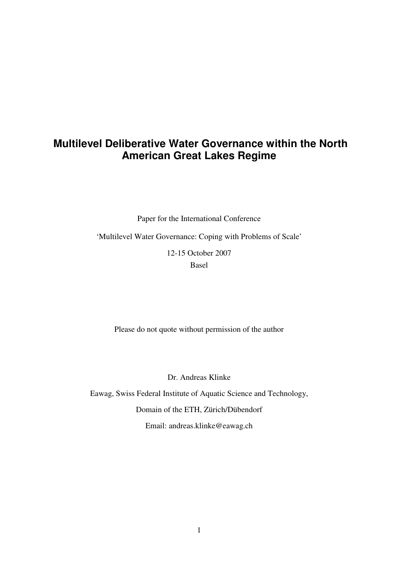# **Multilevel Deliberative Water Governance within the North American Great Lakes Regime**

Paper for the International Conference

'Multilevel Water Governance: Coping with Problems of Scale'

12-15 October 2007

Basel

Please do not quote without permission of the author

Dr. Andreas Klinke

Eawag, Swiss Federal Institute of Aquatic Science and Technology, Domain of the ETH, Zürich/Dübendorf Email: andreas.klinke@eawag.ch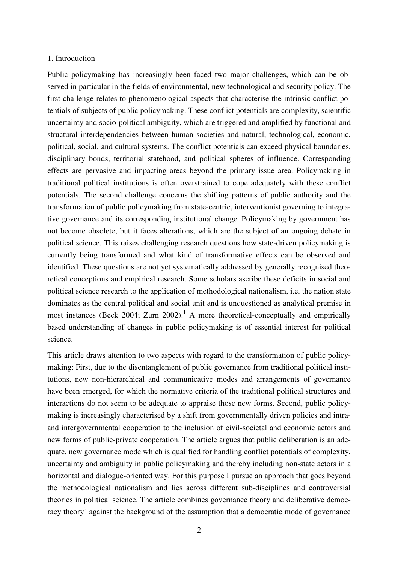#### 1. Introduction

Public policymaking has increasingly been faced two major challenges, which can be observed in particular in the fields of environmental, new technological and security policy. The first challenge relates to phenomenological aspects that characterise the intrinsic conflict potentials of subjects of public policymaking. These conflict potentials are complexity, scientific uncertainty and socio-political ambiguity, which are triggered and amplified by functional and structural interdependencies between human societies and natural, technological, economic, political, social, and cultural systems. The conflict potentials can exceed physical boundaries, disciplinary bonds, territorial statehood, and political spheres of influence. Corresponding effects are pervasive and impacting areas beyond the primary issue area. Policymaking in traditional political institutions is often overstrained to cope adequately with these conflict potentials. The second challenge concerns the shifting patterns of public authority and the transformation of public policymaking from state-centric, interventionist governing to integrative governance and its corresponding institutional change. Policymaking by government has not become obsolete, but it faces alterations, which are the subject of an ongoing debate in political science. This raises challenging research questions how state-driven policymaking is currently being transformed and what kind of transformative effects can be observed and identified. These questions are not yet systematically addressed by generally recognised theoretical conceptions and empirical research. Some scholars ascribe these deficits in social and political science research to the application of methodological nationalism, i.e. the nation state dominates as the central political and social unit and is unquestioned as analytical premise in most instances (Beck 2004; Zürn 2002).<sup>1</sup> A more theoretical-conceptually and empirically based understanding of changes in public policymaking is of essential interest for political science.

This article draws attention to two aspects with regard to the transformation of public policymaking: First, due to the disentanglement of public governance from traditional political institutions, new non-hierarchical and communicative modes and arrangements of governance have been emerged, for which the normative criteria of the traditional political structures and interactions do not seem to be adequate to appraise those new forms. Second, public policymaking is increasingly characterised by a shift from governmentally driven policies and intraand intergovernmental cooperation to the inclusion of civil-societal and economic actors and new forms of public-private cooperation. The article argues that public deliberation is an adequate, new governance mode which is qualified for handling conflict potentials of complexity, uncertainty and ambiguity in public policymaking and thereby including non-state actors in a horizontal and dialogue-oriented way. For this purpose I pursue an approach that goes beyond the methodological nationalism and lies across different sub-disciplines and controversial theories in political science. The article combines governance theory and deliberative democracy theory<sup>2</sup> against the background of the assumption that a democratic mode of governance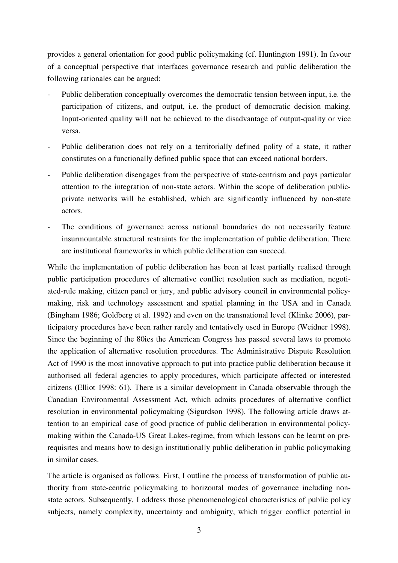provides a general orientation for good public policymaking (cf. Huntington 1991). In favour of a conceptual perspective that interfaces governance research and public deliberation the following rationales can be argued:

- Public deliberation conceptually overcomes the democratic tension between input, i.e. the participation of citizens, and output, i.e. the product of democratic decision making. Input-oriented quality will not be achieved to the disadvantage of output-quality or vice versa.
- Public deliberation does not rely on a territorially defined polity of a state, it rather constitutes on a functionally defined public space that can exceed national borders.
- Public deliberation disengages from the perspective of state-centrism and pays particular attention to the integration of non-state actors. Within the scope of deliberation publicprivate networks will be established, which are significantly influenced by non-state actors.
- The conditions of governance across national boundaries do not necessarily feature insurmountable structural restraints for the implementation of public deliberation. There are institutional frameworks in which public deliberation can succeed.

While the implementation of public deliberation has been at least partially realised through public participation procedures of alternative conflict resolution such as mediation, negotiated-rule making, citizen panel or jury, and public advisory council in environmental policymaking, risk and technology assessment and spatial planning in the USA and in Canada (Bingham 1986; Goldberg et al. 1992) and even on the transnational level (Klinke 2006), participatory procedures have been rather rarely and tentatively used in Europe (Weidner 1998). Since the beginning of the 80ies the American Congress has passed several laws to promote the application of alternative resolution procedures. The Administrative Dispute Resolution Act of 1990 is the most innovative approach to put into practice public deliberation because it authorised all federal agencies to apply procedures, which participate affected or interested citizens (Elliot 1998: 61). There is a similar development in Canada observable through the Canadian Environmental Assessment Act, which admits procedures of alternative conflict resolution in environmental policymaking (Sigurdson 1998). The following article draws attention to an empirical case of good practice of public deliberation in environmental policymaking within the Canada-US Great Lakes-regime, from which lessons can be learnt on prerequisites and means how to design institutionally public deliberation in public policymaking in similar cases.

The article is organised as follows. First, I outline the process of transformation of public authority from state-centric policymaking to horizontal modes of governance including nonstate actors. Subsequently, I address those phenomenological characteristics of public policy subjects, namely complexity, uncertainty and ambiguity, which trigger conflict potential in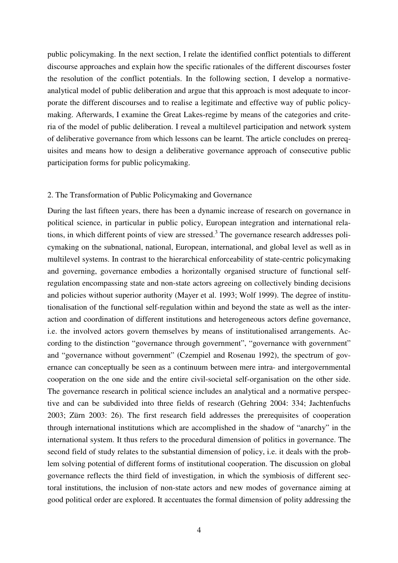public policymaking. In the next section, I relate the identified conflict potentials to different discourse approaches and explain how the specific rationales of the different discourses foster the resolution of the conflict potentials. In the following section, I develop a normativeanalytical model of public deliberation and argue that this approach is most adequate to incorporate the different discourses and to realise a legitimate and effective way of public policymaking. Afterwards, I examine the Great Lakes-regime by means of the categories and criteria of the model of public deliberation. I reveal a multilevel participation and network system of deliberative governance from which lessons can be learnt. The article concludes on prerequisites and means how to design a deliberative governance approach of consecutive public participation forms for public policymaking.

#### 2. The Transformation of Public Policymaking and Governance

During the last fifteen years, there has been a dynamic increase of research on governance in political science, in particular in public policy, European integration and international relations, in which different points of view are stressed.<sup>3</sup> The governance research addresses policymaking on the subnational, national, European, international, and global level as well as in multilevel systems. In contrast to the hierarchical enforceability of state-centric policymaking and governing, governance embodies a horizontally organised structure of functional selfregulation encompassing state and non-state actors agreeing on collectively binding decisions and policies without superior authority (Mayer et al. 1993; Wolf 1999). The degree of institutionalisation of the functional self-regulation within and beyond the state as well as the interaction and coordination of different institutions and heterogeneous actors define governance, i.e. the involved actors govern themselves by means of institutionalised arrangements. According to the distinction "governance through government", "governance with government" and "governance without government" (Czempiel and Rosenau 1992), the spectrum of governance can conceptually be seen as a continuum between mere intra- and intergovernmental cooperation on the one side and the entire civil-societal self-organisation on the other side. The governance research in political science includes an analytical and a normative perspective and can be subdivided into three fields of research (Gehring 2004: 334; Jachtenfuchs 2003; Zürn 2003: 26). The first research field addresses the prerequisites of cooperation through international institutions which are accomplished in the shadow of "anarchy" in the international system. It thus refers to the procedural dimension of politics in governance. The second field of study relates to the substantial dimension of policy, i.e. it deals with the problem solving potential of different forms of institutional cooperation. The discussion on global governance reflects the third field of investigation, in which the symbiosis of different sectoral institutions, the inclusion of non-state actors and new modes of governance aiming at good political order are explored. It accentuates the formal dimension of polity addressing the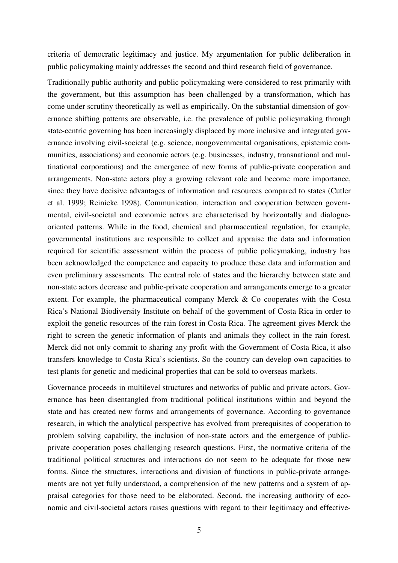criteria of democratic legitimacy and justice. My argumentation for public deliberation in public policymaking mainly addresses the second and third research field of governance.

Traditionally public authority and public policymaking were considered to rest primarily with the government, but this assumption has been challenged by a transformation, which has come under scrutiny theoretically as well as empirically. On the substantial dimension of governance shifting patterns are observable, i.e. the prevalence of public policymaking through state-centric governing has been increasingly displaced by more inclusive and integrated governance involving civil-societal (e.g. science, nongovernmental organisations, epistemic communities, associations) and economic actors (e.g. businesses, industry, transnational and multinational corporations) and the emergence of new forms of public-private cooperation and arrangements. Non-state actors play a growing relevant role and become more importance, since they have decisive advantages of information and resources compared to states (Cutler et al. 1999; Reinicke 1998). Communication, interaction and cooperation between governmental, civil-societal and economic actors are characterised by horizontally and dialogueoriented patterns. While in the food, chemical and pharmaceutical regulation, for example, governmental institutions are responsible to collect and appraise the data and information required for scientific assessment within the process of public policymaking, industry has been acknowledged the competence and capacity to produce these data and information and even preliminary assessments. The central role of states and the hierarchy between state and non-state actors decrease and public-private cooperation and arrangements emerge to a greater extent. For example, the pharmaceutical company Merck & Co cooperates with the Costa Rica's National Biodiversity Institute on behalf of the government of Costa Rica in order to exploit the genetic resources of the rain forest in Costa Rica. The agreement gives Merck the right to screen the genetic information of plants and animals they collect in the rain forest. Merck did not only commit to sharing any profit with the Government of Costa Rica, it also transfers knowledge to Costa Rica's scientists. So the country can develop own capacities to test plants for genetic and medicinal properties that can be sold to overseas markets.

Governance proceeds in multilevel structures and networks of public and private actors. Governance has been disentangled from traditional political institutions within and beyond the state and has created new forms and arrangements of governance. According to governance research, in which the analytical perspective has evolved from prerequisites of cooperation to problem solving capability, the inclusion of non-state actors and the emergence of publicprivate cooperation poses challenging research questions. First, the normative criteria of the traditional political structures and interactions do not seem to be adequate for those new forms. Since the structures, interactions and division of functions in public-private arrangements are not yet fully understood, a comprehension of the new patterns and a system of appraisal categories for those need to be elaborated. Second, the increasing authority of economic and civil-societal actors raises questions with regard to their legitimacy and effective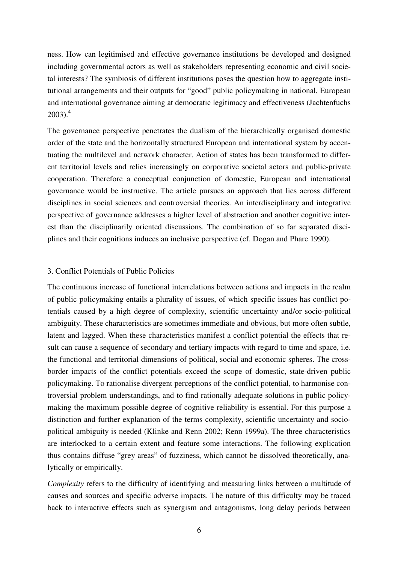ness. How can legitimised and effective governance institutions be developed and designed including governmental actors as well as stakeholders representing economic and civil societal interests? The symbiosis of different institutions poses the question how to aggregate institutional arrangements and their outputs for "good" public policymaking in national, European and international governance aiming at democratic legitimacy and effectiveness (Jachtenfuchs  $2003$ <sup>4</sup>

The governance perspective penetrates the dualism of the hierarchically organised domestic order of the state and the horizontally structured European and international system by accentuating the multilevel and network character. Action of states has been transformed to different territorial levels and relies increasingly on corporative societal actors and public-private cooperation. Therefore a conceptual conjunction of domestic, European and international governance would be instructive. The article pursues an approach that lies across different disciplines in social sciences and controversial theories. An interdisciplinary and integrative perspective of governance addresses a higher level of abstraction and another cognitive interest than the disciplinarily oriented discussions. The combination of so far separated disciplines and their cognitions induces an inclusive perspective (cf. Dogan and Phare 1990).

# 3. Conflict Potentials of Public Policies

The continuous increase of functional interrelations between actions and impacts in the realm of public policymaking entails a plurality of issues, of which specific issues has conflict potentials caused by a high degree of complexity, scientific uncertainty and/or socio-political ambiguity. These characteristics are sometimes immediate and obvious, but more often subtle, latent and lagged. When these characteristics manifest a conflict potential the effects that result can cause a sequence of secondary and tertiary impacts with regard to time and space, i.e. the functional and territorial dimensions of political, social and economic spheres. The crossborder impacts of the conflict potentials exceed the scope of domestic, state-driven public policymaking. To rationalise divergent perceptions of the conflict potential, to harmonise controversial problem understandings, and to find rationally adequate solutions in public policymaking the maximum possible degree of cognitive reliability is essential. For this purpose a distinction and further explanation of the terms complexity, scientific uncertainty and sociopolitical ambiguity is needed (Klinke and Renn 2002; Renn 1999a). The three characteristics are interlocked to a certain extent and feature some interactions. The following explication thus contains diffuse "grey areas" of fuzziness, which cannot be dissolved theoretically, analytically or empirically.

*Complexity* refers to the difficulty of identifying and measuring links between a multitude of causes and sources and specific adverse impacts. The nature of this difficulty may be traced back to interactive effects such as synergism and antagonisms, long delay periods between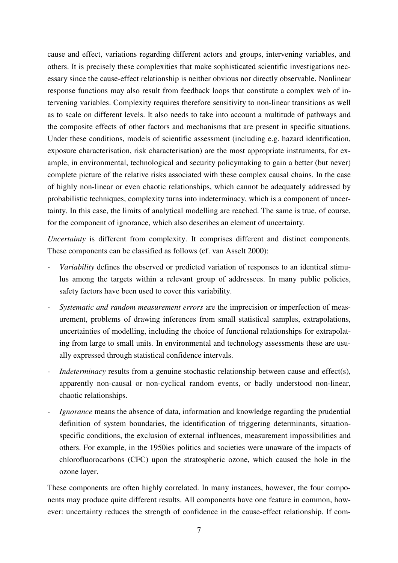cause and effect, variations regarding different actors and groups, intervening variables, and others. It is precisely these complexities that make sophisticated scientific investigations necessary since the cause-effect relationship is neither obvious nor directly observable. Nonlinear response functions may also result from feedback loops that constitute a complex web of intervening variables. Complexity requires therefore sensitivity to non-linear transitions as well as to scale on different levels. It also needs to take into account a multitude of pathways and the composite effects of other factors and mechanisms that are present in specific situations. Under these conditions, models of scientific assessment (including e.g. hazard identification, exposure characterisation, risk characterisation) are the most appropriate instruments, for example, in environmental, technological and security policymaking to gain a better (but never) complete picture of the relative risks associated with these complex causal chains. In the case of highly non-linear or even chaotic relationships, which cannot be adequately addressed by probabilistic techniques, complexity turns into indeterminacy, which is a component of uncertainty. In this case, the limits of analytical modelling are reached. The same is true, of course, for the component of ignorance, which also describes an element of uncertainty.

*Uncertainty* is different from complexity. It comprises different and distinct components. These components can be classified as follows (cf. van Asselt 2000):

- *Variability* defines the observed or predicted variation of responses to an identical stimulus among the targets within a relevant group of addressees. In many public policies, safety factors have been used to cover this variability.
- *Systematic and random measurement errors* are the imprecision or imperfection of measurement, problems of drawing inferences from small statistical samples, extrapolations, uncertainties of modelling, including the choice of functional relationships for extrapolating from large to small units. In environmental and technology assessments these are usually expressed through statistical confidence intervals.
- *Indeterminacy* results from a genuine stochastic relationship between cause and effect(s), apparently non-causal or non-cyclical random events, or badly understood non-linear, chaotic relationships.
- *Ignorance* means the absence of data, information and knowledge regarding the prudential definition of system boundaries, the identification of triggering determinants, situationspecific conditions, the exclusion of external influences, measurement impossibilities and others. For example, in the 1950ies politics and societies were unaware of the impacts of chlorofluorocarbons (CFC) upon the stratospheric ozone, which caused the hole in the ozone layer.

These components are often highly correlated. In many instances, however, the four components may produce quite different results. All components have one feature in common, however: uncertainty reduces the strength of confidence in the cause-effect relationship. If com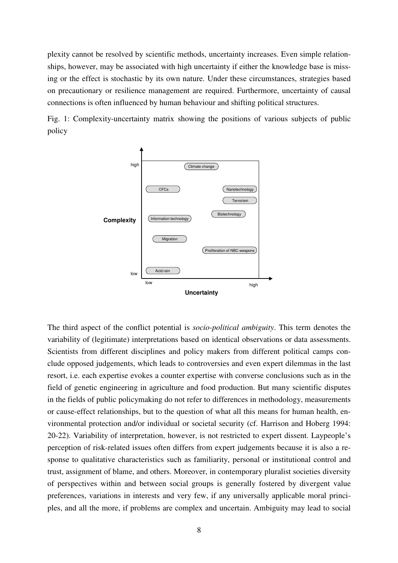plexity cannot be resolved by scientific methods, uncertainty increases. Even simple relationships, however, may be associated with high uncertainty if either the knowledge base is missing or the effect is stochastic by its own nature. Under these circumstances, strategies based on precautionary or resilience management are required. Furthermore, uncertainty of causal connections is often influenced by human behaviour and shifting political structures.

Fig. 1: Complexity-uncertainty matrix showing the positions of various subjects of public policy



The third aspect of the conflict potential is *socio-political ambiguity*. This term denotes the variability of (legitimate) interpretations based on identical observations or data assessments. Scientists from different disciplines and policy makers from different political camps conclude opposed judgements, which leads to controversies and even expert dilemmas in the last resort, i.e. each expertise evokes a counter expertise with converse conclusions such as in the field of genetic engineering in agriculture and food production. But many scientific disputes in the fields of public policymaking do not refer to differences in methodology, measurements or cause-effect relationships, but to the question of what all this means for human health, environmental protection and/or individual or societal security (cf. Harrison and Hoberg 1994: 20-22). Variability of interpretation, however, is not restricted to expert dissent. Laypeople's perception of risk-related issues often differs from expert judgements because it is also a response to qualitative characteristics such as familiarity, personal or institutional control and trust, assignment of blame, and others. Moreover, in contemporary pluralist societies diversity of perspectives within and between social groups is generally fostered by divergent value preferences, variations in interests and very few, if any universally applicable moral principles, and all the more, if problems are complex and uncertain. Ambiguity may lead to social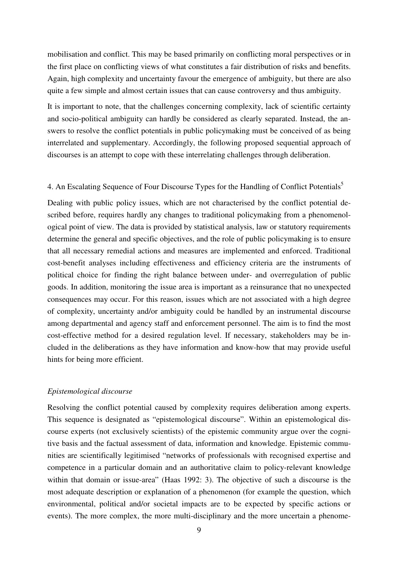mobilisation and conflict. This may be based primarily on conflicting moral perspectives or in the first place on conflicting views of what constitutes a fair distribution of risks and benefits. Again, high complexity and uncertainty favour the emergence of ambiguity, but there are also quite a few simple and almost certain issues that can cause controversy and thus ambiguity.

It is important to note, that the challenges concerning complexity, lack of scientific certainty and socio-political ambiguity can hardly be considered as clearly separated. Instead, the answers to resolve the conflict potentials in public policymaking must be conceived of as being interrelated and supplementary. Accordingly, the following proposed sequential approach of discourses is an attempt to cope with these interrelating challenges through deliberation.

# 4. An Escalating Sequence of Four Discourse Types for the Handling of Conflict Potentials<sup>5</sup>

Dealing with public policy issues, which are not characterised by the conflict potential described before, requires hardly any changes to traditional policymaking from a phenomenological point of view. The data is provided by statistical analysis, law or statutory requirements determine the general and specific objectives, and the role of public policymaking is to ensure that all necessary remedial actions and measures are implemented and enforced. Traditional cost-benefit analyses including effectiveness and efficiency criteria are the instruments of political choice for finding the right balance between under- and overregulation of public goods. In addition, monitoring the issue area is important as a reinsurance that no unexpected consequences may occur. For this reason, issues which are not associated with a high degree of complexity, uncertainty and/or ambiguity could be handled by an instrumental discourse among departmental and agency staff and enforcement personnel. The aim is to find the most cost-effective method for a desired regulation level. If necessary, stakeholders may be included in the deliberations as they have information and know-how that may provide useful hints for being more efficient.

### *Epistemological discourse*

Resolving the conflict potential caused by complexity requires deliberation among experts. This sequence is designated as "epistemological discourse". Within an epistemological discourse experts (not exclusively scientists) of the epistemic community argue over the cognitive basis and the factual assessment of data, information and knowledge. Epistemic communities are scientifically legitimised "networks of professionals with recognised expertise and competence in a particular domain and an authoritative claim to policy-relevant knowledge within that domain or issue-area" (Haas 1992: 3). The objective of such a discourse is the most adequate description or explanation of a phenomenon (for example the question, which environmental, political and/or societal impacts are to be expected by specific actions or events). The more complex, the more multi-disciplinary and the more uncertain a phenome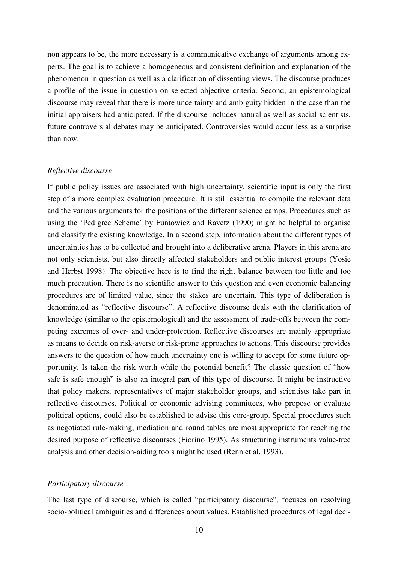non appears to be, the more necessary is a communicative exchange of arguments among experts. The goal is to achieve a homogeneous and consistent definition and explanation of the phenomenon in question as well as a clarification of dissenting views. The discourse produces a profile of the issue in question on selected objective criteria. Second, an epistemological discourse may reveal that there is more uncertainty and ambiguity hidden in the case than the initial appraisers had anticipated. If the discourse includes natural as well as social scientists, future controversial debates may be anticipated. Controversies would occur less as a surprise than now.

#### *Reflective discourse*

If public policy issues are associated with high uncertainty, scientific input is only the first step of a more complex evaluation procedure. It is still essential to compile the relevant data and the various arguments for the positions of the different science camps. Procedures such as using the 'Pedigree Scheme' by Funtowicz and Ravetz (1990) might be helpful to organise and classify the existing knowledge. In a second step, information about the different types of uncertainties has to be collected and brought into a deliberative arena. Players in this arena are not only scientists, but also directly affected stakeholders and public interest groups (Yosie and Herbst 1998). The objective here is to find the right balance between too little and too much precaution. There is no scientific answer to this question and even economic balancing procedures are of limited value, since the stakes are uncertain. This type of deliberation is denominated as "reflective discourse". A reflective discourse deals with the clarification of knowledge (similar to the epistemological) and the assessment of trade-offs between the competing extremes of over- and under-protection. Reflective discourses are mainly appropriate as means to decide on risk-averse or risk-prone approaches to actions. This discourse provides answers to the question of how much uncertainty one is willing to accept for some future opportunity. Is taken the risk worth while the potential benefit? The classic question of "how safe is safe enough" is also an integral part of this type of discourse. It might be instructive that policy makers, representatives of major stakeholder groups, and scientists take part in reflective discourses. Political or economic advising committees, who propose or evaluate political options, could also be established to advise this core-group. Special procedures such as negotiated rule-making, mediation and round tables are most appropriate for reaching the desired purpose of reflective discourses (Fiorino 1995). As structuring instruments value-tree analysis and other decision-aiding tools might be used (Renn et al. 1993).

#### *Participatory discourse*

The last type of discourse, which is called "participatory discourse"*,* focuses on resolving socio-political ambiguities and differences about values. Established procedures of legal deci-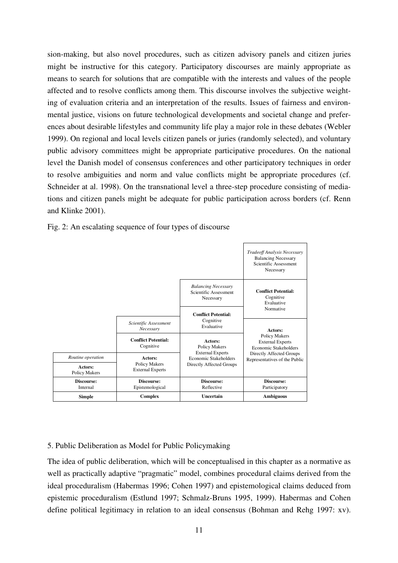sion-making, but also novel procedures, such as citizen advisory panels and citizen juries might be instructive for this category. Participatory discourses are mainly appropriate as means to search for solutions that are compatible with the interests and values of the people affected and to resolve conflicts among them. This discourse involves the subjective weighting of evaluation criteria and an interpretation of the results. Issues of fairness and environmental justice, visions on future technological developments and societal change and preferences about desirable lifestyles and community life play a major role in these debates (Webler 1999). On regional and local levels citizen panels or juries (randomly selected), and voluntary public advisory committees might be appropriate participative procedures. On the national level the Danish model of consensus conferences and other participatory techniques in order to resolve ambiguities and norm and value conflicts might be appropriate procedures (cf. Schneider at al. 1998). On the transnational level a three-step procedure consisting of mediations and citizen panels might be adequate for public participation across borders (cf. Renn and Klinke 2001).

Fig. 2: An escalating sequence of four types of discourse



# 5. Public Deliberation as Model for Public Policymaking

The idea of public deliberation, which will be conceptualised in this chapter as a normative as well as practically adaptive "pragmatic" model, combines procedural claims derived from the ideal proceduralism (Habermas 1996; Cohen 1997) and epistemological claims deduced from epistemic proceduralism (Estlund 1997; Schmalz-Bruns 1995, 1999). Habermas and Cohen define political legitimacy in relation to an ideal consensus (Bohman and Rehg 1997: xv).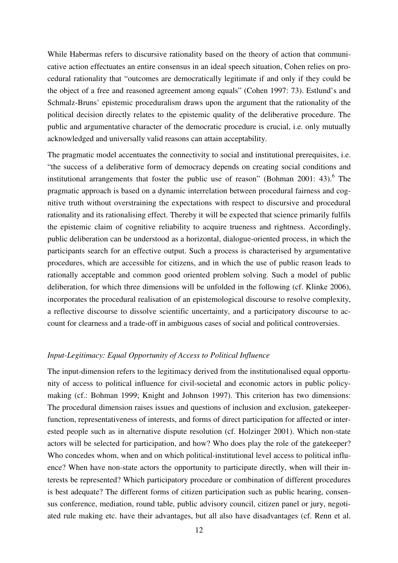While Habermas refers to discursive rationality based on the theory of action that communicative action effectuates an entire consensus in an ideal speech situation, Cohen relies on procedural rationality that "outcomes are democratically legitimate if and only if they could be the object of a free and reasoned agreement among equals" (Cohen 1997: 73). Estlund's and Schmalz-Bruns' epistemic proceduralism draws upon the argument that the rationality of the political decision directly relates to the epistemic quality of the deliberative procedure. The public and argumentative character of the democratic procedure is crucial, i.e. only mutually acknowledged and universally valid reasons can attain acceptability.

The pragmatic model accentuates the connectivity to social and institutional prerequisites, i.e. "the success of a deliberative form of democracy depends on creating social conditions and institutional arrangements that foster the public use of reason" (Bohman 2001: 43). <sup>6</sup> The pragmatic approach is based on a dynamic interrelation between procedural fairness and cognitive truth without overstraining the expectations with respect to discursive and procedural rationality and its rationalising effect. Thereby it will be expected that science primarily fulfils the epistemic claim of cognitive reliability to acquire trueness and rightness. Accordingly, public deliberation can be understood as a horizontal, dialogue-oriented process, in which the participants search for an effective output. Such a process is characterised by argumentative procedures, which are accessible for citizens, and in which the use of public reason leads to rationally acceptable and common good oriented problem solving. Such a model of public deliberation, for which three dimensions will be unfolded in the following (cf. Klinke 2006), incorporates the procedural realisation of an epistemological discourse to resolve complexity, a reflective discourse to dissolve scientific uncertainty, and a participatory discourse to account for clearness and a trade-off in ambiguous cases of social and political controversies.

# *Input-Legitimacy: Equal Opportunity of Access to Political Influence*

The input-dimension refers to the legitimacy derived from the institutionalised equal opportunity of access to political influence for civil-societal and economic actors in public policymaking (cf.: Bohman 1999; Knight and Johnson 1997). This criterion has two dimensions: The procedural dimension raises issues and questions of inclusion and exclusion, gatekeeperfunction, representativeness of interests, and forms of direct participation for affected or interested people such as in alternative dispute resolution (cf. Holzinger 2001). Which non-state actors will be selected for participation, and how? Who does play the role of the gatekeeper? Who concedes whom, when and on which political-institutional level access to political influence? When have non-state actors the opportunity to participate directly, when will their interests be represented? Which participatory procedure or combination of different procedures is best adequate? The different forms of citizen participation such as public hearing, consensus conference, mediation, round table, public advisory council, citizen panel or jury, negotiated rule making etc. have their advantages, but all also have disadvantages (cf. Renn et al.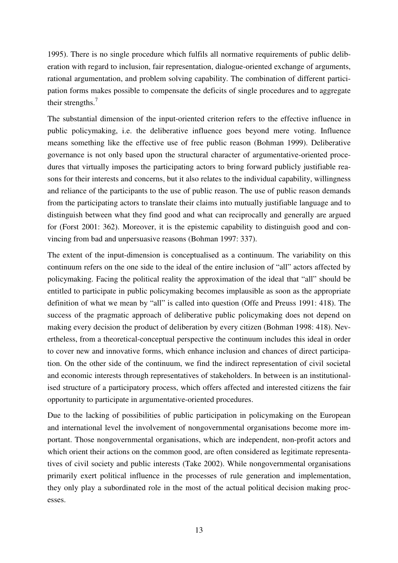1995). There is no single procedure which fulfils all normative requirements of public deliberation with regard to inclusion, fair representation, dialogue-oriented exchange of arguments, rational argumentation, and problem solving capability. The combination of different participation forms makes possible to compensate the deficits of single procedures and to aggregate their strengths. $<sup>7</sup>$ </sup>

The substantial dimension of the input-oriented criterion refers to the effective influence in public policymaking, i.e. the deliberative influence goes beyond mere voting. Influence means something like the effective use of free public reason (Bohman 1999). Deliberative governance is not only based upon the structural character of argumentative-oriented procedures that virtually imposes the participating actors to bring forward publicly justifiable reasons for their interests and concerns, but it also relates to the individual capability, willingness and reliance of the participants to the use of public reason. The use of public reason demands from the participating actors to translate their claims into mutually justifiable language and to distinguish between what they find good and what can reciprocally and generally are argued for (Forst 2001: 362). Moreover, it is the epistemic capability to distinguish good and convincing from bad and unpersuasive reasons (Bohman 1997: 337).

The extent of the input-dimension is conceptualised as a continuum. The variability on this continuum refers on the one side to the ideal of the entire inclusion of "all" actors affected by policymaking. Facing the political reality the approximation of the ideal that "all" should be entitled to participate in public policymaking becomes implausible as soon as the appropriate definition of what we mean by "all" is called into question (Offe and Preuss 1991: 418). The success of the pragmatic approach of deliberative public policymaking does not depend on making every decision the product of deliberation by every citizen (Bohman 1998: 418). Nevertheless, from a theoretical-conceptual perspective the continuum includes this ideal in order to cover new and innovative forms, which enhance inclusion and chances of direct participation. On the other side of the continuum, we find the indirect representation of civil societal and economic interests through representatives of stakeholders. In between is an institutionalised structure of a participatory process, which offers affected and interested citizens the fair opportunity to participate in argumentative-oriented procedures.

Due to the lacking of possibilities of public participation in policymaking on the European and international level the involvement of nongovernmental organisations become more important. Those nongovernmental organisations, which are independent, non-profit actors and which orient their actions on the common good, are often considered as legitimate representatives of civil society and public interests (Take 2002). While nongovernmental organisations primarily exert political influence in the processes of rule generation and implementation, they only play a subordinated role in the most of the actual political decision making processes.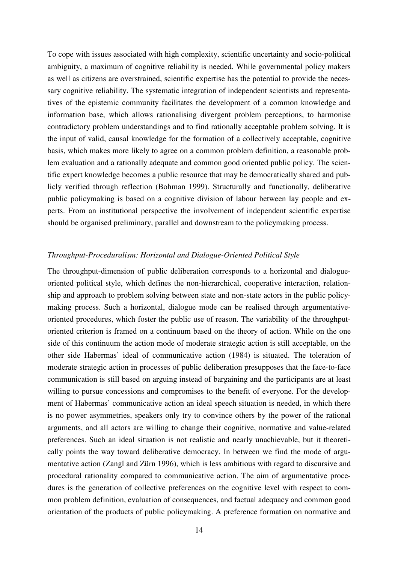To cope with issues associated with high complexity, scientific uncertainty and socio-political ambiguity, a maximum of cognitive reliability is needed. While governmental policy makers as well as citizens are overstrained, scientific expertise has the potential to provide the necessary cognitive reliability. The systematic integration of independent scientists and representatives of the epistemic community facilitates the development of a common knowledge and information base, which allows rationalising divergent problem perceptions, to harmonise contradictory problem understandings and to find rationally acceptable problem solving. It is the input of valid, causal knowledge for the formation of a collectively acceptable, cognitive basis, which makes more likely to agree on a common problem definition, a reasonable problem evaluation and a rationally adequate and common good oriented public policy. The scientific expert knowledge becomes a public resource that may be democratically shared and publicly verified through reflection (Bohman 1999). Structurally and functionally, deliberative public policymaking is based on a cognitive division of labour between lay people and experts. From an institutional perspective the involvement of independent scientific expertise should be organised preliminary, parallel and downstream to the policymaking process.

### *Throughput-Proceduralism: Horizontal and Dialogue-Oriented Political Style*

The throughput-dimension of public deliberation corresponds to a horizontal and dialogueoriented political style, which defines the non-hierarchical, cooperative interaction, relationship and approach to problem solving between state and non-state actors in the public policymaking process. Such a horizontal, dialogue mode can be realised through argumentativeoriented procedures, which foster the public use of reason. The variability of the throughputoriented criterion is framed on a continuum based on the theory of action. While on the one side of this continuum the action mode of moderate strategic action is still acceptable, on the other side Habermas' ideal of communicative action (1984) is situated. The toleration of moderate strategic action in processes of public deliberation presupposes that the face-to-face communication is still based on arguing instead of bargaining and the participants are at least willing to pursue concessions and compromises to the benefit of everyone. For the development of Habermas' communicative action an ideal speech situation is needed, in which there is no power asymmetries, speakers only try to convince others by the power of the rational arguments, and all actors are willing to change their cognitive, normative and value-related preferences. Such an ideal situation is not realistic and nearly unachievable, but it theoretically points the way toward deliberative democracy. In between we find the mode of argumentative action (Zangl and Zürn 1996), which is less ambitious with regard to discursive and procedural rationality compared to communicative action. The aim of argumentative procedures is the generation of collective preferences on the cognitive level with respect to common problem definition, evaluation of consequences, and factual adequacy and common good orientation of the products of public policymaking. A preference formation on normative and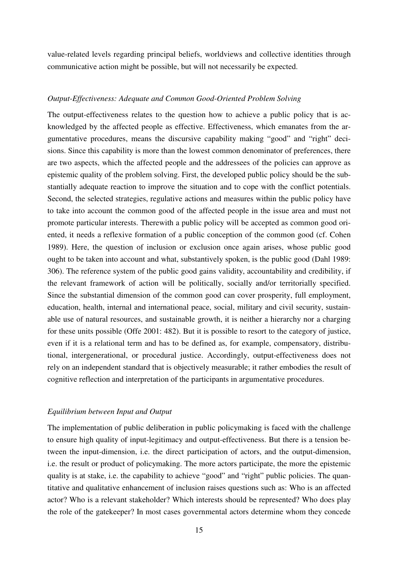value-related levels regarding principal beliefs, worldviews and collective identities through communicative action might be possible, but will not necessarily be expected.

### *Output-Effectiveness: Adequate and Common Good-Oriented Problem Solving*

The output-effectiveness relates to the question how to achieve a public policy that is acknowledged by the affected people as effective. Effectiveness, which emanates from the argumentative procedures, means the discursive capability making "good" and "right" decisions. Since this capability is more than the lowest common denominator of preferences, there are two aspects, which the affected people and the addressees of the policies can approve as epistemic quality of the problem solving. First, the developed public policy should be the substantially adequate reaction to improve the situation and to cope with the conflict potentials. Second, the selected strategies, regulative actions and measures within the public policy have to take into account the common good of the affected people in the issue area and must not promote particular interests. Therewith a public policy will be accepted as common good oriented, it needs a reflexive formation of a public conception of the common good (cf. Cohen 1989). Here, the question of inclusion or exclusion once again arises, whose public good ought to be taken into account and what, substantively spoken, is the public good (Dahl 1989: 306). The reference system of the public good gains validity, accountability and credibility, if the relevant framework of action will be politically, socially and/or territorially specified. Since the substantial dimension of the common good can cover prosperity, full employment, education, health, internal and international peace, social, military and civil security, sustainable use of natural resources, and sustainable growth, it is neither a hierarchy nor a charging for these units possible (Offe 2001: 482). But it is possible to resort to the category of justice, even if it is a relational term and has to be defined as, for example, compensatory, distributional, intergenerational, or procedural justice. Accordingly, output-effectiveness does not rely on an independent standard that is objectively measurable; it rather embodies the result of cognitive reflection and interpretation of the participants in argumentative procedures.

### *Equilibrium between Input and Output*

The implementation of public deliberation in public policymaking is faced with the challenge to ensure high quality of input-legitimacy and output-effectiveness. But there is a tension between the input-dimension, i.e. the direct participation of actors, and the output-dimension, i.e. the result or product of policymaking. The more actors participate, the more the epistemic quality is at stake, i.e. the capability to achieve "good" and "right" public policies. The quantitative and qualitative enhancement of inclusion raises questions such as: Who is an affected actor? Who is a relevant stakeholder? Which interests should be represented? Who does play the role of the gatekeeper? In most cases governmental actors determine whom they concede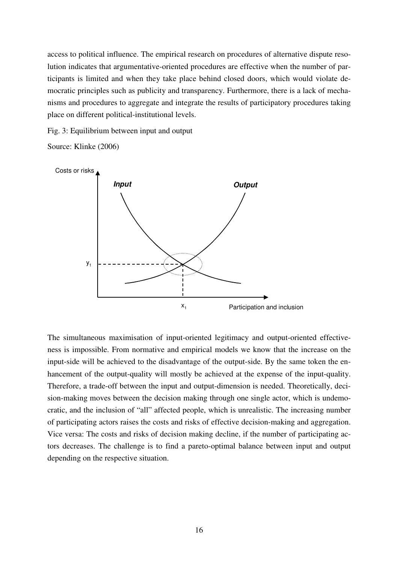access to political influence. The empirical research on procedures of alternative dispute resolution indicates that argumentative-oriented procedures are effective when the number of participants is limited and when they take place behind closed doors, which would violate democratic principles such as publicity and transparency. Furthermore, there is a lack of mechanisms and procedures to aggregate and integrate the results of participatory procedures taking place on different political-institutional levels.

Fig. 3: Equilibrium between input and output

Source: Klinke (2006)



The simultaneous maximisation of input-oriented legitimacy and output-oriented effectiveness is impossible. From normative and empirical models we know that the increase on the input-side will be achieved to the disadvantage of the output-side. By the same token the enhancement of the output-quality will mostly be achieved at the expense of the input-quality. Therefore, a trade-off between the input and output-dimension is needed. Theoretically, decision-making moves between the decision making through one single actor, which is undemocratic, and the inclusion of "all" affected people, which is unrealistic. The increasing number of participating actors raises the costs and risks of effective decision-making and aggregation. Vice versa: The costs and risks of decision making decline, if the number of participating actors decreases. The challenge is to find a pareto-optimal balance between input and output depending on the respective situation.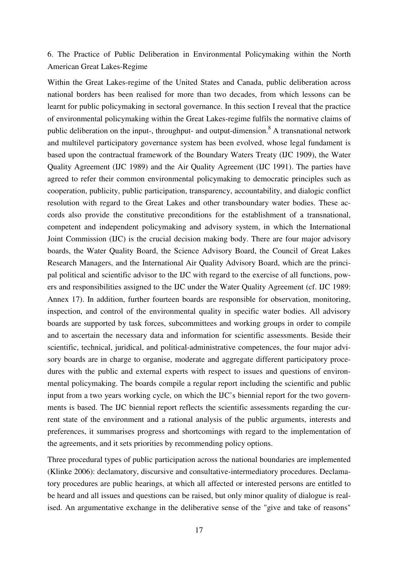6. The Practice of Public Deliberation in Environmental Policymaking within the North American Great Lakes-Regime

Within the Great Lakes-regime of the United States and Canada, public deliberation across national borders has been realised for more than two decades, from which lessons can be learnt for public policymaking in sectoral governance. In this section I reveal that the practice of environmental policymaking within the Great Lakes-regime fulfils the normative claims of public deliberation on the input-, throughput- and output-dimension.<sup>8</sup> A transnational network and multilevel participatory governance system has been evolved, whose legal fundament is based upon the contractual framework of the Boundary Waters Treaty (IJC 1909), the Water Quality Agreement (IJC 1989) and the Air Quality Agreement (IJC 1991). The parties have agreed to refer their common environmental policymaking to democratic principles such as cooperation, publicity, public participation, transparency, accountability, and dialogic conflict resolution with regard to the Great Lakes and other transboundary water bodies. These accords also provide the constitutive preconditions for the establishment of a transnational, competent and independent policymaking and advisory system, in which the International Joint Commission (IJC) is the crucial decision making body. There are four major advisory boards, the Water Quality Board, the Science Advisory Board, the Council of Great Lakes Research Managers, and the International Air Quality Advisory Board, which are the principal political and scientific advisor to the IJC with regard to the exercise of all functions, powers and responsibilities assigned to the IJC under the Water Quality Agreement (cf. IJC 1989: Annex 17). In addition, further fourteen boards are responsible for observation, monitoring, inspection, and control of the environmental quality in specific water bodies. All advisory boards are supported by task forces, subcommittees and working groups in order to compile and to ascertain the necessary data and information for scientific assessments. Beside their scientific, technical, juridical, and political-administrative competences, the four major advisory boards are in charge to organise, moderate and aggregate different participatory procedures with the public and external experts with respect to issues and questions of environmental policymaking. The boards compile a regular report including the scientific and public input from a two years working cycle, on which the IJC's biennial report for the two governments is based. The IJC biennial report reflects the scientific assessments regarding the current state of the environment and a rational analysis of the public arguments, interests and preferences, it summarises progress and shortcomings with regard to the implementation of the agreements, and it sets priorities by recommending policy options.

Three procedural types of public participation across the national boundaries are implemented (Klinke 2006): declamatory, discursive and consultative-intermediatory procedures. Declamatory procedures are public hearings, at which all affected or interested persons are entitled to be heard and all issues and questions can be raised, but only minor quality of dialogue is realised. An argumentative exchange in the deliberative sense of the "give and take of reasons"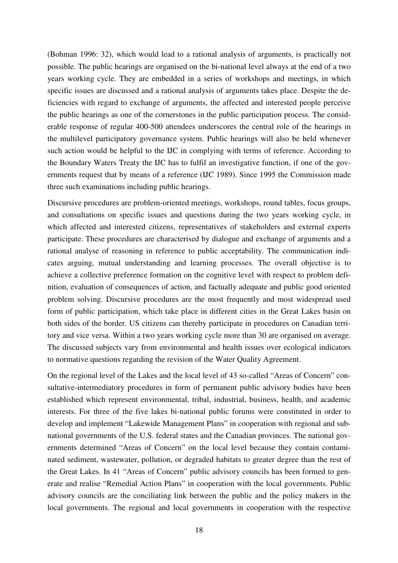(Bohman 1996: 32), which would lead to a rational analysis of arguments, is practically not possible. The public hearings are organised on the bi-national level always at the end of a two years working cycle. They are embedded in a series of workshops and meetings, in which specific issues are discussed and a rational analysis of arguments takes place. Despite the deficiencies with regard to exchange of arguments, the affected and interested people perceive the public hearings as one of the cornerstones in the public participation process. The considerable response of regular 400-500 attendees underscores the central role of the hearings in the multilevel participatory governance system. Public hearings will also be held whenever such action would be helpful to the IJC in complying with terms of reference. According to the Boundary Waters Treaty the IJC has to fulfil an investigative function, if one of the governments request that by means of a reference (IJC 1989). Since 1995 the Commission made three such examinations including public hearings.

Discursive procedures are problem-oriented meetings, workshops, round tables, focus groups, and consultations on specific issues and questions during the two years working cycle, in which affected and interested citizens, representatives of stakeholders and external experts participate. These procedures are characterised by dialogue and exchange of arguments and a rational analyse of reasoning in reference to public acceptability. The communication indicates arguing, mutual understanding and learning processes. The overall objective is to achieve a collective preference formation on the cognitive level with respect to problem definition, evaluation of consequences of action, and factually adequate and public good oriented problem solving. Discursive procedures are the most frequently and most widespread used form of public participation, which take place in different cities in the Great Lakes basin on both sides of the border. US citizens can thereby participate in procedures on Canadian territory and vice versa. Within a two years working cycle more than 30 are organised on average. The discussed subjects vary from environmental and health issues over ecological indicators to normative questions regarding the revision of the Water Quality Agreement.

On the regional level of the Lakes and the local level of 43 so-called "Areas of Concern" consultative-intermediatory procedures in form of permanent public advisory bodies have been established which represent environmental, tribal, industrial, business, health, and academic interests. For three of the five lakes bi-national public forums were constituted in order to develop and implement "Lakewide Management Plans" in cooperation with regional and subnational governments of the U.S. federal states and the Canadian provinces. The national governments determined "Areas of Concern" on the local level because they contain contaminated sediment, wastewater, pollution, or degraded habitats to greater degree than the rest of the Great Lakes. In 41 "Areas of Concern" public advisory councils has been formed to generate and realise "Remedial Action Plans" in cooperation with the local governments. Public advisory councils are the conciliating link between the public and the policy makers in the local governments. The regional and local governments in cooperation with the respective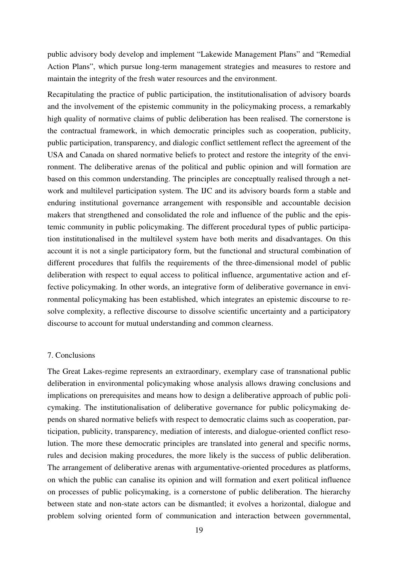public advisory body develop and implement "Lakewide Management Plans" and "Remedial Action Plans", which pursue long-term management strategies and measures to restore and maintain the integrity of the fresh water resources and the environment.

Recapitulating the practice of public participation, the institutionalisation of advisory boards and the involvement of the epistemic community in the policymaking process, a remarkably high quality of normative claims of public deliberation has been realised. The cornerstone is the contractual framework, in which democratic principles such as cooperation, publicity, public participation, transparency, and dialogic conflict settlement reflect the agreement of the USA and Canada on shared normative beliefs to protect and restore the integrity of the environment. The deliberative arenas of the political and public opinion and will formation are based on this common understanding. The principles are conceptually realised through a network and multilevel participation system. The IJC and its advisory boards form a stable and enduring institutional governance arrangement with responsible and accountable decision makers that strengthened and consolidated the role and influence of the public and the epistemic community in public policymaking. The different procedural types of public participation institutionalised in the multilevel system have both merits and disadvantages. On this account it is not a single participatory form, but the functional and structural combination of different procedures that fulfils the requirements of the three-dimensional model of public deliberation with respect to equal access to political influence, argumentative action and effective policymaking. In other words, an integrative form of deliberative governance in environmental policymaking has been established, which integrates an epistemic discourse to resolve complexity, a reflective discourse to dissolve scientific uncertainty and a participatory discourse to account for mutual understanding and common clearness.

### 7. Conclusions

The Great Lakes-regime represents an extraordinary, exemplary case of transnational public deliberation in environmental policymaking whose analysis allows drawing conclusions and implications on prerequisites and means how to design a deliberative approach of public policymaking. The institutionalisation of deliberative governance for public policymaking depends on shared normative beliefs with respect to democratic claims such as cooperation, participation, publicity, transparency, mediation of interests, and dialogue-oriented conflict resolution. The more these democratic principles are translated into general and specific norms, rules and decision making procedures, the more likely is the success of public deliberation. The arrangement of deliberative arenas with argumentative-oriented procedures as platforms, on which the public can canalise its opinion and will formation and exert political influence on processes of public policymaking, is a cornerstone of public deliberation. The hierarchy between state and non-state actors can be dismantled; it evolves a horizontal, dialogue and problem solving oriented form of communication and interaction between governmental,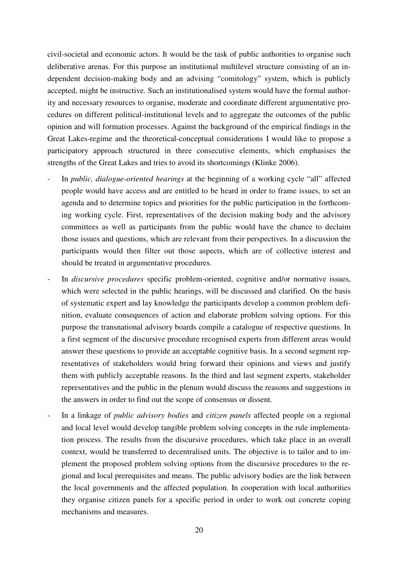civil-societal and economic actors. It would be the task of public authorities to organise such deliberative arenas. For this purpose an institutional multilevel structure consisting of an independent decision-making body and an advising "comitology" system, which is publicly accepted, might be instructive. Such an institutionalised system would have the formal authority and necessary resources to organise, moderate and coordinate different argumentative procedures on different political-institutional levels and to aggregate the outcomes of the public opinion and will formation processes. Against the background of the empirical findings in the Great Lakes-regime and the theoretical-conceptual considerations I would like to propose a participatory approach structured in three consecutive elements, which emphasises the strengths of the Great Lakes and tries to avoid its shortcomings (Klinke 2006).

- In *public, dialogue-oriented hearings* at the beginning of a working cycle "all" affected people would have access and are entitled to be heard in order to frame issues, to set an agenda and to determine topics and priorities for the public participation in the forthcoming working cycle. First, representatives of the decision making body and the advisory committees as well as participants from the public would have the chance to declaim those issues and questions, which are relevant from their perspectives. In a discussion the participants would then filter out those aspects, which are of collective interest and should be treated in argumentative procedures.
- In *discursive procedures* specific problem-oriented, cognitive and/or normative issues, which were selected in the public hearings, will be discussed and clarified. On the basis of systematic expert and lay knowledge the participants develop a common problem definition, evaluate consequences of action and elaborate problem solving options. For this purpose the transnational advisory boards compile a catalogue of respective questions. In a first segment of the discursive procedure recognised experts from different areas would answer these questions to provide an acceptable cognitive basis. In a second segment representatives of stakeholders would bring forward their opinions and views and justify them with publicly acceptable reasons. In the third and last segment experts, stakeholder representatives and the public in the plenum would discuss the reasons and suggestions in the answers in order to find out the scope of consensus or dissent.
- In a linkage of *public advisory bodies* and *citizen panels* affected people on a regional and local level would develop tangible problem solving concepts in the rule implementation process. The results from the discursive procedures, which take place in an overall context, would be transferred to decentralised units. The objective is to tailor and to implement the proposed problem solving options from the discursive procedures to the regional and local prerequisites and means. The public advisory bodies are the link between the local governments and the affected population. In cooperation with local authorities they organise citizen panels for a specific period in order to work out concrete coping mechanisms and measures.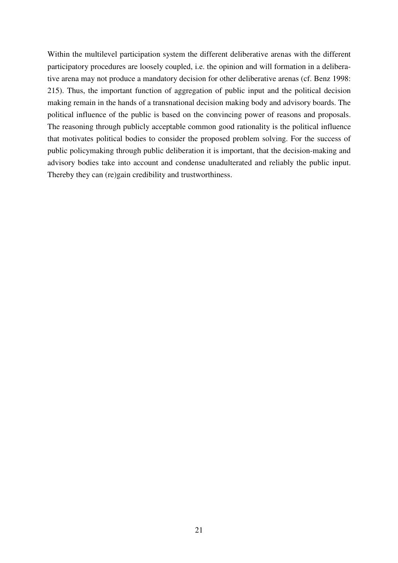Within the multilevel participation system the different deliberative arenas with the different participatory procedures are loosely coupled, i.e. the opinion and will formation in a deliberative arena may not produce a mandatory decision for other deliberative arenas (cf. Benz 1998: 215). Thus, the important function of aggregation of public input and the political decision making remain in the hands of a transnational decision making body and advisory boards. The political influence of the public is based on the convincing power of reasons and proposals. The reasoning through publicly acceptable common good rationality is the political influence that motivates political bodies to consider the proposed problem solving. For the success of public policymaking through public deliberation it is important, that the decision-making and advisory bodies take into account and condense unadulterated and reliably the public input. Thereby they can (re)gain credibility and trustworthiness.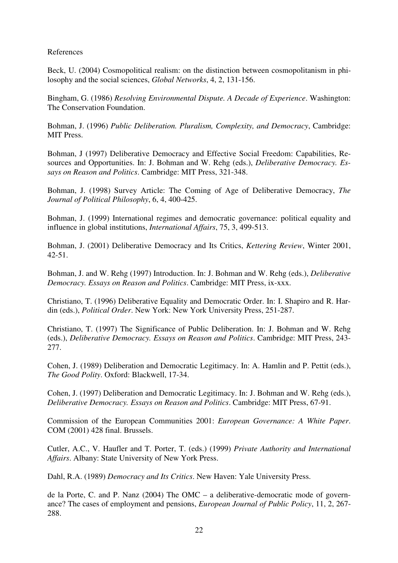References

Beck, U. (2004) Cosmopolitical realism: on the distinction between cosmopolitanism in philosophy and the social sciences, *Global Networks*, 4, 2, 131-156.

Bingham, G. (1986) *Resolving Environmental Dispute. A Decade of Experience*. Washington: The Conservation Foundation.

Bohman, J. (1996) *Public Deliberation. Pluralism, Complexity, and Democracy*, Cambridge: MIT Press.

Bohman, J (1997) Deliberative Democracy and Effective Social Freedom: Capabilities, Resources and Opportunities. In: J. Bohman and W. Rehg (eds.), *Deliberative Democracy. Essays on Reason and Politics*. Cambridge: MIT Press, 321-348.

Bohman, J. (1998) Survey Article: The Coming of Age of Deliberative Democracy, *The Journal of Political Philosophy*, 6, 4, 400-425.

Bohman, J. (1999) International regimes and democratic governance: political equality and influence in global institutions, *International Affairs*, 75, 3, 499-513.

Bohman, J. (2001) Deliberative Democracy and Its Critics, *Kettering Review*, Winter 2001, 42-51.

Bohman, J. and W. Rehg (1997) Introduction. In: J. Bohman and W. Rehg (eds.), *Deliberative Democracy. Essays on Reason and Politics*. Cambridge: MIT Press, ix-xxx.

Christiano, T. (1996) Deliberative Equality and Democratic Order. In: I. Shapiro and R. Hardin (eds.), *Political Order*. New York: New York University Press, 251-287.

Christiano, T. (1997) The Significance of Public Deliberation. In: J. Bohman and W. Rehg (eds.), *Deliberative Democracy. Essays on Reason and Politics*. Cambridge: MIT Press, 243- 277.

Cohen, J. (1989) Deliberation and Democratic Legitimacy. In: A. Hamlin and P. Pettit (eds.), *The Good Polity*. Oxford: Blackwell, 17-34.

Cohen, J. (1997) Deliberation and Democratic Legitimacy. In: J. Bohman and W. Rehg (eds.), *Deliberative Democracy. Essays on Reason and Politics*. Cambridge: MIT Press, 67-91.

Commission of the European Communities 2001: *European Governance: A White Paper*. COM (2001) 428 final. Brussels.

Cutler, A.C., V. Haufler and T. Porter, T. (eds.) (1999) *Private Authority and International Affairs*. Albany: State University of New York Press.

Dahl, R.A. (1989) *Democracy and Its Critics*. New Haven: Yale University Press.

de la Porte, C. and P. Nanz (2004) The OMC – a deliberative-democratic mode of governance? The cases of employment and pensions, *European Journal of Public Policy*, 11, 2, 267- 288.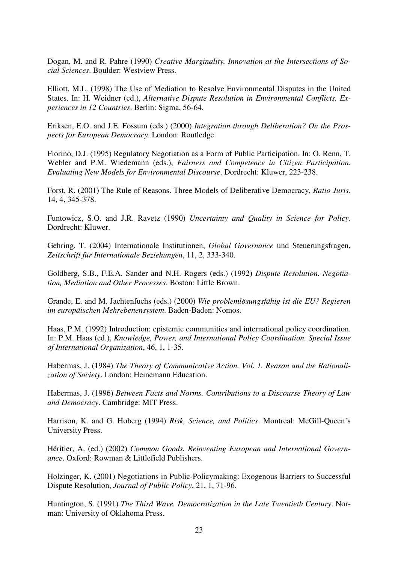Dogan, M. and R. Pahre (1990) *Creative Marginality. Innovation at the Intersections of Social Sciences*. Boulder: Westview Press.

Elliott, M.L. (1998) The Use of Mediation to Resolve Environmental Disputes in the United States. In: H. Weidner (ed.), *Alternative Dispute Resolution in Environmental Conflicts. Experiences in 12 Countries*. Berlin: Sigma, 56-64.

Eriksen, E.O. and J.E. Fossum (eds.) (2000) *Integration through Deliberation? On the Prospects for European Democracy*. London: Routledge.

Fiorino, D.J. (1995) Regulatory Negotiation as a Form of Public Participation. In: O. Renn, T. Webler and P.M. Wiedemann (eds.), *Fairness and Competence in Citizen Participation. Evaluating New Models for Environmental Discourse*. Dordrecht: Kluwer, 223-238.

Forst, R. (2001) The Rule of Reasons. Three Models of Deliberative Democracy, *Ratio Juris*, 14, 4, 345-378.

Funtowicz, S.O. and J.R. Ravetz (1990) *Uncertainty and Quality in Science for Policy*. Dordrecht: Kluwer.

Gehring, T. (2004) Internationale Institutionen, *Global Governance* und Steuerungsfragen, *Zeitschrift für Internationale Beziehungen*, 11, 2, 333-340.

Goldberg, S.B., F.E.A. Sander and N.H. Rogers (eds.) (1992) *Dispute Resolution. Negotiation, Mediation and Other Processes*. Boston: Little Brown.

Grande, E. and M. Jachtenfuchs (eds.) (2000) *Wie problemlösungsfähig ist die EU? Regieren im europäischen Mehrebenensystem*. Baden-Baden: Nomos.

Haas, P.M. (1992) Introduction: epistemic communities and international policy coordination. In: P.M. Haas (ed.), *Knowledge, Power, and International Policy Coordination. Special Issue of International Organization*, 46, 1, 1-35.

Habermas, J. (1984) *The Theory of Communicative Action. Vol. 1. Reason and the Rationalization of Society*. London: Heinemann Education.

Habermas, J. (1996) *Between Facts and Norms. Contributions to a Discourse Theory of Law and Democracy*. Cambridge: MIT Press.

Harrison, K. and G. Hoberg (1994) *Risk, Science, and Politics*. Montreal: McGill-Queen´s University Press.

Héritier, A. (ed.) (2002) *Common Goods. Reinventing European and International Governance*. Oxford: Rowman & Littlefield Publishers.

Holzinger, K. (2001) Negotiations in Public-Policymaking: Exogenous Barriers to Successful Dispute Resolution, *Journal of Public Policy*, 21, 1, 71-96.

Huntington, S. (1991) *The Third Wave. Democratization in the Late Twentieth Century*. Norman: University of Oklahoma Press.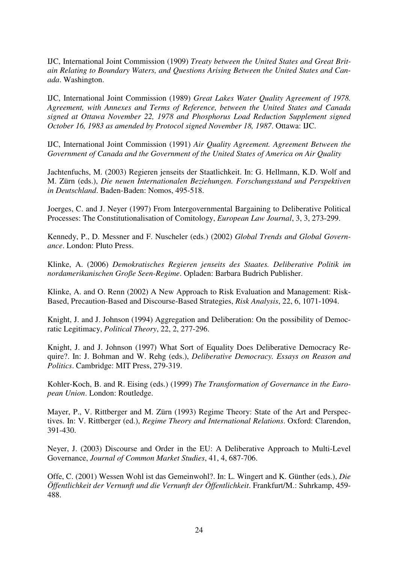IJC, International Joint Commission (1909) *Treaty between the United States and Great Britain Relating to Boundary Waters, and Questions Arising Between the United States and Canada*. Washington.

IJC, International Joint Commission (1989) *Great Lakes Water Quality Agreement of 1978. Agreement, with Annexes and Terms of Reference, between the United States and Canada signed at Ottawa November 22, 1978 and Phosphorus Load Reduction Supplement signed October 16, 1983 as amended by Protocol signed November 18, 1987*. Ottawa: IJC.

IJC, International Joint Commission (1991) *Air Quality Agreement. Agreement Between the Government of Canada and the Government of the United States of America on Air Quality* 

Jachtenfuchs, M. (2003) Regieren jenseits der Staatlichkeit. In: G. Hellmann, K.D. Wolf and M. Zürn (eds.), *Die neuen Internationalen Beziehungen. Forschungsstand und Perspektiven in Deutschland*. Baden-Baden: Nomos, 495-518.

Joerges, C. and J. Neyer (1997) From Intergovernmental Bargaining to Deliberative Political Processes: The Constitutionalisation of Comitology, *European Law Journal*, 3, 3, 273-299.

Kennedy, P., D. Messner and F. Nuscheler (eds.) (2002) *Global Trends and Global Governance*. London: Pluto Press.

Klinke, A. (2006) *Demokratisches Regieren jenseits des Staates. Deliberative Politik im nordamerikanischen Große Seen-Regime*. Opladen: Barbara Budrich Publisher.

Klinke, A. and O. Renn (2002) A New Approach to Risk Evaluation and Management: Risk-Based, Precaution-Based and Discourse-Based Strategies, *Risk Analysis*, 22, 6, 1071-1094.

Knight, J. and J. Johnson (1994) Aggregation and Deliberation: On the possibility of Democratic Legitimacy, *Political Theory*, 22, 2, 277-296.

Knight, J. and J. Johnson (1997) What Sort of Equality Does Deliberative Democracy Require?. In: J. Bohman and W. Rehg (eds.), *Deliberative Democracy. Essays on Reason and Politics*. Cambridge: MIT Press, 279-319.

Kohler-Koch, B. and R. Eising (eds.) (1999) *The Transformation of Governance in the European Union*. London: Routledge.

Mayer, P., V. Rittberger and M. Zürn (1993) Regime Theory: State of the Art and Perspectives. In: V. Rittberger (ed.), *Regime Theory and International Relations*. Oxford: Clarendon, 391-430.

Neyer, J. (2003) Discourse and Order in the EU: A Deliberative Approach to Multi-Level Governance, *Journal of Common Market Studies*, 41, 4, 687-706.

Offe, C. (2001) Wessen Wohl ist das Gemeinwohl?. In: L. Wingert and K. Günther (eds.), *Die Öffentlichkeit der Vernunft und die Vernunft der Öffentlichkeit*. Frankfurt/M.: Suhrkamp, 459- 488.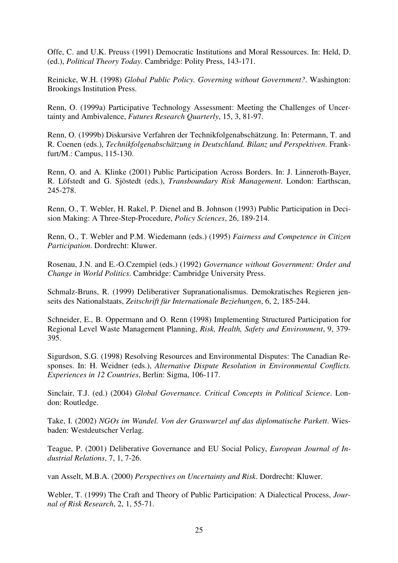Offe, C. and U.K. Preuss (1991) Democratic Institutions and Moral Ressources. In: Held, D. (ed.), *Political Theory Today*. Cambridge: Polity Press, 143-171.

Reinicke, W.H. (1998) *Global Public Policy. Governing without Government?*. Washington: Brookings Institution Press.

Renn, O. (1999a) Participative Technology Assessment: Meeting the Challenges of Uncertainty and Ambivalence, *Futures Research Quarterly*, 15, 3, 81-97.

Renn, O. (1999b) Diskursive Verfahren der Technikfolgenabschätzung. In: Petermann, T. and R. Coenen (eds.), *Technikfolgenabschätzung in Deutschland. Bilanz und Perspektiven*. Frankfurt/M.: Campus, 115-130.

Renn, O. and A. Klinke (2001) Public Participation Across Borders. In: J. Linneroth-Bayer, R. Löfstedt and G. Sjöstedt (eds.), *Transboundary Risk Management*. London: Earthscan, 245-278.

Renn, O., T. Webler, H. Rakel, P. Dienel and B. Johnson (1993) Public Participation in Decision Making: A Three-Step-Procedure, *Policy Sciences*, 26, 189-214.

Renn, O., T. Webler and P.M. Wiedemann (eds.) (1995) *Fairness and Competence in Citizen Participation*. Dordrecht: Kluwer.

Rosenau, J.N. and E.-O.Czempiel (eds.) (1992) *Governance without Government: Order and Change in World Politics*. Cambridge: Cambridge University Press.

Schmalz-Bruns, R. (1999) Deliberativer Supranationalismus. Demokratisches Regieren jenseits des Nationalstaats, *Zeitschrift für Internationale Beziehungen*, 6, 2, 185-244.

Schneider, E., B. Oppermann and O. Renn (1998) Implementing Structured Participation for Regional Level Waste Management Planning, *Risk, Health, Safety and Environment*, 9, 379- 395.

Sigurdson, S.G. (1998) Resolving Resources and Environmental Disputes: The Canadian Responses. In: H. Weidner (eds.), *Alternative Dispute Resolution in Environmental Conflicts. Experiences in 12 Countries*, Berlin: Sigma, 106-117.

Sinclair, T.J. (ed.) (2004) *Global Governance. Critical Concepts in Political Science*. London: Routledge.

Take, I. (2002) *NGOs im Wandel. Von der Graswurzel auf das diplomatische Parkett*. Wiesbaden: Westdeutscher Verlag.

Teague, P. (2001) Deliberative Governance and EU Social Policy, *European Journal of Industrial Relations*, 7, 1, 7-26.

van Asselt, M.B.A. (2000) *Perspectives on Uncertainty and Risk*. Dordrecht: Kluwer.

Webler, T. (1999) The Craft and Theory of Public Participation: A Dialectical Process, *Journal of Risk Research*, 2, 1, 55-71.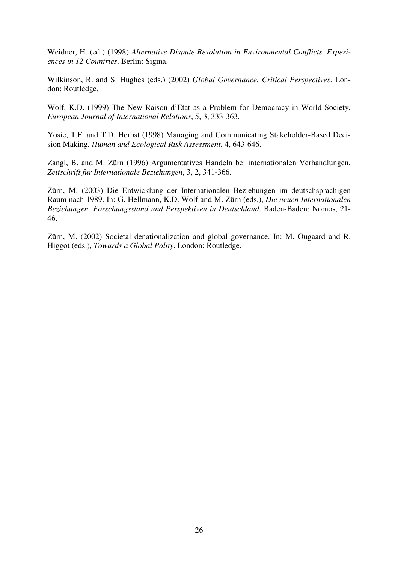Weidner, H. (ed.) (1998) *Alternative Dispute Resolution in Environmental Conflicts. Experiences in 12 Countries*. Berlin: Sigma.

Wilkinson, R. and S. Hughes (eds.) (2002) *Global Governance. Critical Perspectives*. London: Routledge.

Wolf, K.D. (1999) The New Raison d'Etat as a Problem for Democracy in World Society, *European Journal of International Relations*, 5, 3, 333-363.

Yosie, T.F. and T.D. Herbst (1998) Managing and Communicating Stakeholder-Based Decision Making, *Human and Ecological Risk Assessment*, 4, 643-646.

Zangl, B. and M. Zürn (1996) Argumentatives Handeln bei internationalen Verhandlungen, *Zeitschrift für Internationale Beziehungen*, 3, 2, 341-366.

Zürn, M. (2003) Die Entwicklung der Internationalen Beziehungen im deutschsprachigen Raum nach 1989. In: G. Hellmann, K.D. Wolf and M. Zürn (eds.), *Die neuen Internationalen Beziehungen. Forschungsstand und Perspektiven in Deutschland*. Baden-Baden: Nomos, 21- 46.

Zürn, M. (2002) Societal denationalization and global governance. In: M. Ougaard and R. Higgot (eds.), *Towards a Global Polity*. London: Routledge.